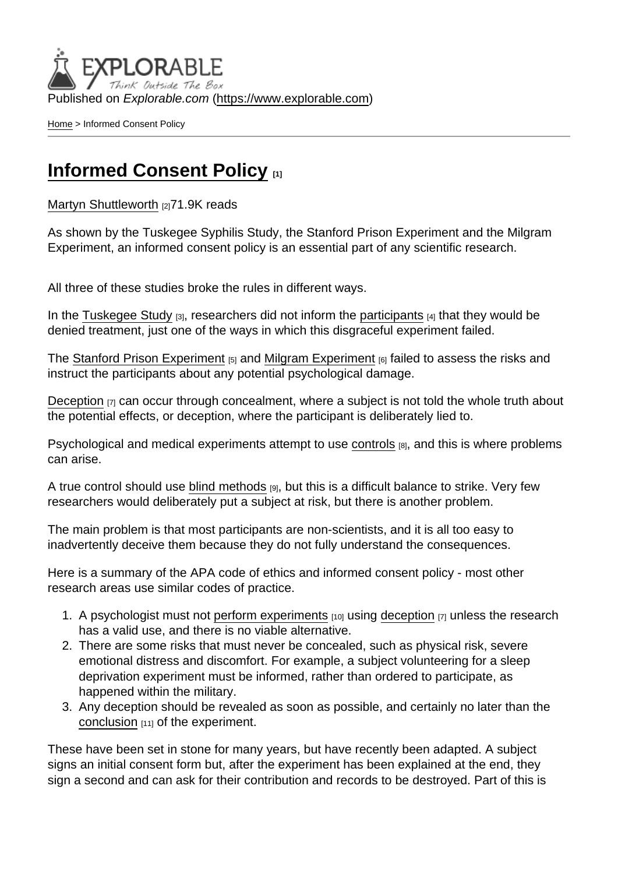Published on Explorable.com (<https://www.explorable.com>)

[Home](https://www.explorable.com/) > Informed Consent Policy

## [Informed Consent Policy](https://www.explorable.com/informed-consent-policy) [1]

[Martyn Shuttleworth](https://www.explorable.com/users/martyn) [2]71.9K reads

As shown by the Tuskegee Syphilis Study, the Stanford Prison Experiment and the Milgram Experiment, an informed consent policy is an essential part of any scientific research.

All three of these studies broke the rules in different ways.

In the [Tuskegee Study](https://www.explorable.com/tuskegee-syphilis-study)  $[3]$ , researchers did not inform the [participants](https://www.explorable.com/social-science-subjects)  $[4]$  that they would be denied treatment, just one of the ways in which this disgraceful experiment failed.

The [Stanford Prison Experiment](https://www.explorable.com/stanford-prison-experiment)  $[5]$  and [Milgram Experiment](https://www.explorable.com/stanley-milgram-experiment)  $[6]$  failed to assess the risks and instruct the participants about any potential psychological damage.

[Deception](https://www.explorable.com/deception-and-research) [7] can occur through concealment, where a subject is not told the whole truth about the potential effects, or deception, where the participant is deliberately lied to.

Psychological and medical experiments attempt to use [controls](https://www.explorable.com/scientific-control-group)  $_{[8]}$ , and this is where problems can arise.

A true control should use [blind methods](https://www.explorable.com/double-blind-experiment)  $_{[9]}$ , but this is a difficult balance to strike. Very few researchers would deliberately put a subject at risk, but there is another problem.

The main problem is that most participants are non-scientists, and it is all too easy to inadvertently deceive them because they do not fully understand the consequences.

Here is a summary of the APA code of ethics and informed consent policy - most other research areas use similar codes of practice.

- 1. A psychologist must not [perform experiments](https://www.explorable.com/conducting-an-experiment)  $[10]$  using [deception](https://www.explorable.com/deception-and-research)  $[7]$  unless the research has a valid use, and there is no viable alternative.
- 2. There are some risks that must never be concealed, such as physical risk, severe emotional distress and discomfort. For example, a subject volunteering for a sleep deprivation experiment must be informed, rather than ordered to participate, as happened within the military.
- 3. Any deception should be revealed as soon as possible, and certainly no later than the [conclusion](https://www.explorable.com/drawing-conclusions) [11] of the experiment.

These have been set in stone for many years, but have recently been adapted. A subject signs an initial consent form but, after the experiment has been explained at the end, they sign a second and can ask for their contribution and records to be destroyed. Part of this is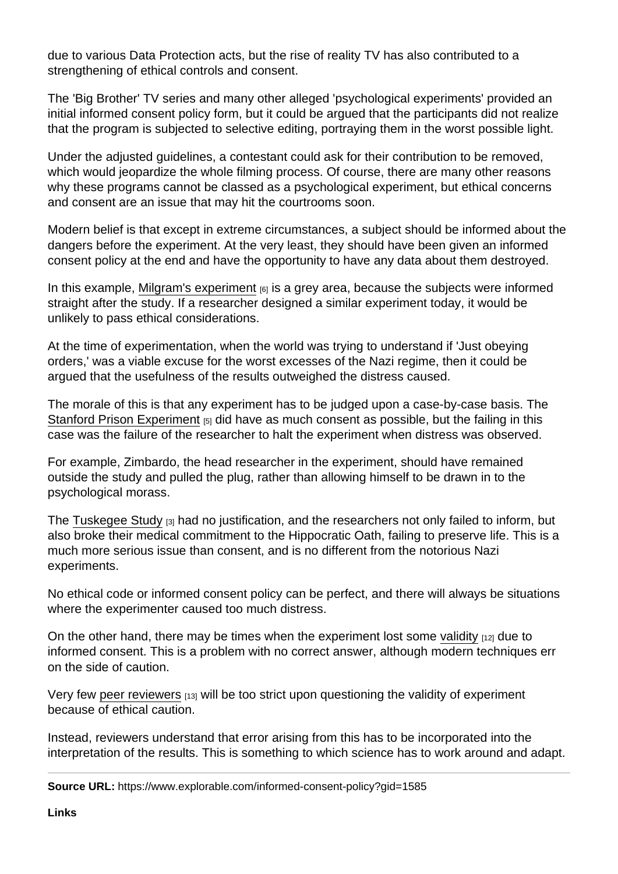due to various Data Protection acts, but the rise of reality TV has also contributed to a strengthening of ethical controls and consent.

The 'Big Brother' TV series and many other alleged 'psychological experiments' provided an initial informed consent policy form, but it could be argued that the participants did not realize that the program is subjected to selective editing, portraying them in the worst possible light.

Under the adjusted guidelines, a contestant could ask for their contribution to be removed, which would jeopardize the whole filming process. Of course, there are many other reasons why these programs cannot be classed as a psychological experiment, but ethical concerns and consent are an issue that may hit the courtrooms soon.

Modern belief is that except in extreme circumstances, a subject should be informed about the dangers before the experiment. At the very least, they should have been given an informed consent policy at the end and have the opportunity to have any data about them destroyed.

In this example, [Milgram's experiment](https://www.explorable.com/stanley-milgram-experiment)  $_{[6]}$  is a grey area, because the subjects were informed straight after the study. If a researcher designed a similar experiment today, it would be unlikely to pass ethical considerations.

At the time of experimentation, when the world was trying to understand if 'Just obeying orders,' was a viable excuse for the worst excesses of the Nazi regime, then it could be argued that the usefulness of the results outweighed the distress caused.

The morale of this is that any experiment has to be judged upon a case-by-case basis. The [Stanford Prison Experiment](https://www.explorable.com/stanford-prison-experiment) [5] did have as much consent as possible, but the failing in this case was the failure of the researcher to halt the experiment when distress was observed.

For example, Zimbardo, the head researcher in the experiment, should have remained outside the study and pulled the plug, rather than allowing himself to be drawn in to the psychological morass.

The [Tuskegee Study](https://www.explorable.com/tuskegee-syphilis-study)  $\beta$  had no justification, and the researchers not only failed to inform, but also broke their medical commitment to the Hippocratic Oath, failing to preserve life. This is a much more serious issue than consent, and is no different from the notorious Nazi experiments.

No ethical code or informed consent policy can be perfect, and there will always be situations where the experimenter caused too much distress.

On the other hand, there may be times when the experiment lost some [validity](https://www.explorable.com/validity-and-reliability)  $[12]$  due to informed consent. This is a problem with no correct answer, although modern techniques err on the side of caution.

Very few [peer reviewers](https://www.explorable.com/peer-review-process) [13] will be too strict upon questioning the validity of experiment because of ethical caution.

Instead, reviewers understand that error arising from this has to be incorporated into the interpretation of the results. This is something to which science has to work around and adapt.

Source URL: https://www.explorable.com/informed-consent-policy?gid=1585

Links